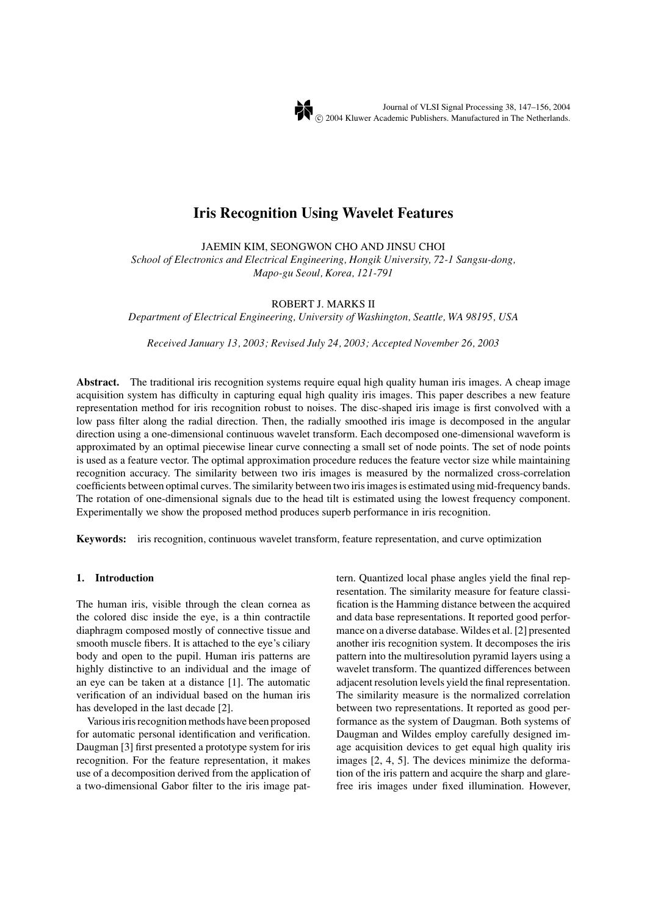# **Iris Recognition Using Wavelet Features**

JAEMIN KIM, SEONGWON CHO AND JINSU CHOI

*School of Electronics and Electrical Engineering, Hongik University, 72-1 Sangsu-dong, Mapo-gu Seoul, Korea, 121-791*

ROBERT J. MARKS II

*Department of Electrical Engineering, University of Washington, Seattle, WA 98195, USA*

*Received January 13, 2003; Revised July 24, 2003; Accepted November 26, 2003*

Abstract. The traditional iris recognition systems require equal high quality human iris images. A cheap image acquisition system has difficulty in capturing equal high quality iris images. This paper describes a new feature representation method for iris recognition robust to noises. The disc-shaped iris image is first convolved with a low pass filter along the radial direction. Then, the radially smoothed iris image is decomposed in the angular direction using a one-dimensional continuous wavelet transform. Each decomposed one-dimensional waveform is approximated by an optimal piecewise linear curve connecting a small set of node points. The set of node points is used as a feature vector. The optimal approximation procedure reduces the feature vector size while maintaining recognition accuracy. The similarity between two iris images is measured by the normalized cross-correlation coefficients between optimal curves. The similarity between two iris images is estimated using mid-frequency bands. The rotation of one-dimensional signals due to the head tilt is estimated using the lowest frequency component. Experimentally we show the proposed method produces superb performance in iris recognition.

**Keywords:** iris recognition, continuous wavelet transform, feature representation, and curve optimization

## **1. Introduction**

The human iris, visible through the clean cornea as the colored disc inside the eye, is a thin contractile diaphragm composed mostly of connective tissue and smooth muscle fibers. It is attached to the eye's ciliary body and open to the pupil. Human iris patterns are highly distinctive to an individual and the image of an eye can be taken at a distance [1]. The automatic verification of an individual based on the human iris has developed in the last decade [2].

Various iris recognition methods have been proposed for automatic personal identification and verification. Daugman [3] first presented a prototype system for iris recognition. For the feature representation, it makes use of a decomposition derived from the application of a two-dimensional Gabor filter to the iris image pattern. Quantized local phase angles yield the final representation. The similarity measure for feature classification is the Hamming distance between the acquired and data base representations. It reported good performance on a diverse database. Wildes et al. [2] presented another iris recognition system. It decomposes the iris pattern into the multiresolution pyramid layers using a wavelet transform. The quantized differences between adjacent resolution levels yield the final representation. The similarity measure is the normalized correlation between two representations. It reported as good performance as the system of Daugman. Both systems of Daugman and Wildes employ carefully designed image acquisition devices to get equal high quality iris images [2, 4, 5]. The devices minimize the deformation of the iris pattern and acquire the sharp and glarefree iris images under fixed illumination. However,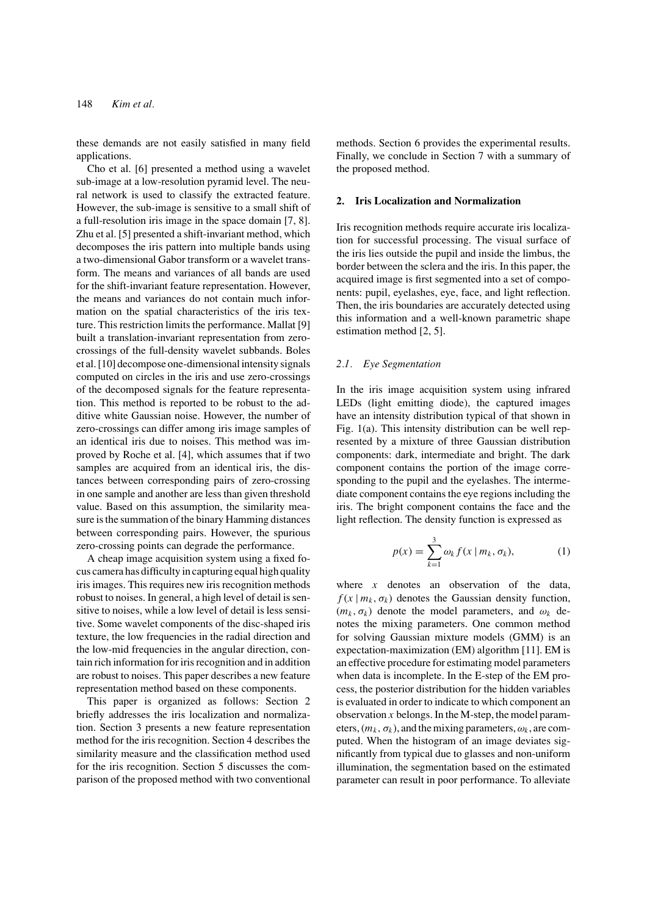these demands are not easily satisfied in many field applications.

Cho et al. [6] presented a method using a wavelet sub-image at a low-resolution pyramid level. The neural network is used to classify the extracted feature. However, the sub-image is sensitive to a small shift of a full-resolution iris image in the space domain [7, 8]. Zhu et al. [5] presented a shift-invariant method, which decomposes the iris pattern into multiple bands using a two-dimensional Gabor transform or a wavelet transform. The means and variances of all bands are used for the shift-invariant feature representation. However, the means and variances do not contain much information on the spatial characteristics of the iris texture. This restriction limits the performance. Mallat [9] built a translation-invariant representation from zerocrossings of the full-density wavelet subbands. Boles et al. [10] decompose one-dimensional intensity signals computed on circles in the iris and use zero-crossings of the decomposed signals for the feature representation. This method is reported to be robust to the additive white Gaussian noise. However, the number of zero-crossings can differ among iris image samples of an identical iris due to noises. This method was improved by Roche et al. [4], which assumes that if two samples are acquired from an identical iris, the distances between corresponding pairs of zero-crossing in one sample and another are less than given threshold value. Based on this assumption, the similarity measure is the summation of the binary Hamming distances between corresponding pairs. However, the spurious zero-crossing points can degrade the performance.

A cheap image acquisition system using a fixed focus camera has difficulty in capturing equal high quality iris images. This requires new iris recognition methods robust to noises. In general, a high level of detail is sensitive to noises, while a low level of detail is less sensitive. Some wavelet components of the disc-shaped iris texture, the low frequencies in the radial direction and the low-mid frequencies in the angular direction, contain rich information for iris recognition and in addition are robust to noises. This paper describes a new feature representation method based on these components.

This paper is organized as follows: Section 2 briefly addresses the iris localization and normalization. Section 3 presents a new feature representation method for the iris recognition. Section 4 describes the similarity measure and the classification method used for the iris recognition. Section 5 discusses the comparison of the proposed method with two conventional methods. Section 6 provides the experimental results. Finally, we conclude in Section 7 with a summary of the proposed method.

### **2. Iris Localization and Normalization**

Iris recognition methods require accurate iris localization for successful processing. The visual surface of the iris lies outside the pupil and inside the limbus, the border between the sclera and the iris. In this paper, the acquired image is first segmented into a set of components: pupil, eyelashes, eye, face, and light reflection. Then, the iris boundaries are accurately detected using this information and a well-known parametric shape estimation method [2, 5].

### *2.1. Eye Segmentation*

In the iris image acquisition system using infrared LEDs (light emitting diode), the captured images have an intensity distribution typical of that shown in Fig. 1(a). This intensity distribution can be well represented by a mixture of three Gaussian distribution components: dark, intermediate and bright. The dark component contains the portion of the image corresponding to the pupil and the eyelashes. The intermediate component contains the eye regions including the iris. The bright component contains the face and the light reflection. The density function is expressed as

$$
p(x) = \sum_{k=1}^{3} \omega_k f(x \mid m_k, \sigma_k), \tag{1}
$$

where *x* denotes an observation of the data,  $f(x \mid m_k, \sigma_k)$  denotes the Gaussian density function,  $(m_k, \sigma_k)$  denote the model parameters, and  $\omega_k$  denotes the mixing parameters. One common method for solving Gaussian mixture models (GMM) is an expectation-maximization (EM) algorithm [11]. EM is an effective procedure for estimating model parameters when data is incomplete. In the E-step of the EM process, the posterior distribution for the hidden variables is evaluated in order to indicate to which component an observation *x* belongs. In the M-step, the model parameters,  $(m_k, \sigma_k)$ , and the mixing parameters,  $\omega_k$ , are computed. When the histogram of an image deviates significantly from typical due to glasses and non-uniform illumination, the segmentation based on the estimated parameter can result in poor performance. To alleviate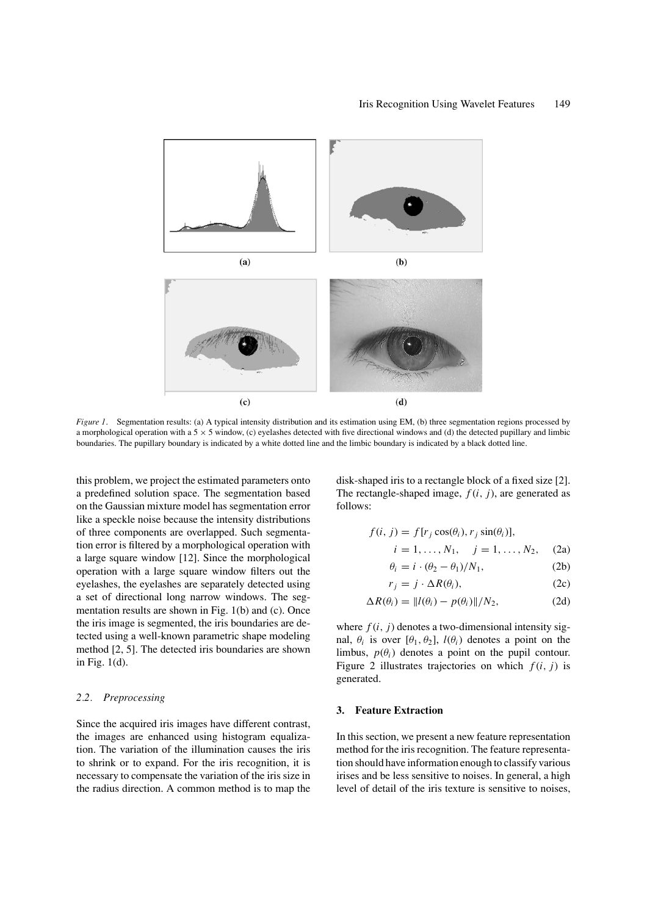

*Figure 1*. Segmentation results: (a) A typical intensity distribution and its estimation using EM, (b) three segmentation regions processed by a morphological operation with a  $5 \times 5$  window, (c) eyelashes detected with five directional windows and (d) the detected pupillary and limbic boundaries. The pupillary boundary is indicated by a white dotted line and the limbic boundary is indicated by a black dotted line.

this problem, we project the estimated parameters onto a predefined solution space. The segmentation based on the Gaussian mixture model has segmentation error like a speckle noise because the intensity distributions of three components are overlapped. Such segmentation error is filtered by a morphological operation with a large square window [12]. Since the morphological operation with a large square window filters out the eyelashes, the eyelashes are separately detected using a set of directional long narrow windows. The segmentation results are shown in Fig. 1(b) and (c). Once the iris image is segmented, the iris boundaries are detected using a well-known parametric shape modeling method [2, 5]. The detected iris boundaries are shown in Fig. 1(d).

## *2.2. Preprocessing*

Since the acquired iris images have different contrast, the images are enhanced using histogram equalization. The variation of the illumination causes the iris to shrink or to expand. For the iris recognition, it is necessary to compensate the variation of the iris size in the radius direction. A common method is to map the disk-shaped iris to a rectangle block of a fixed size [2]. The rectangle-shaped image, *f* (*i*, *j*), are generated as follows:

$$
f(i, j) = f[r_j \cos(\theta_i), r_j \sin(\theta_i)],
$$
  

$$
i = 1, ..., N_1, \quad j = 1, ..., N_2,
$$
 (2a)

$$
\theta_i = i \cdot (\theta_2 - \theta_1) / N_1, \tag{2b}
$$

$$
r_j = j \cdot \Delta R(\theta_i), \tag{2c}
$$

$$
\Delta R(\theta_i) = ||l(\theta_i) - p(\theta_i)||/N_2, \tag{2d}
$$

where  $f(i, j)$  denotes a two-dimensional intensity signal,  $\theta_i$  is over  $[\theta_1, \theta_2]$ ,  $l(\theta_i)$  denotes a point on the limbus,  $p(\theta_i)$  denotes a point on the pupil contour. Figure 2 illustrates trajectories on which  $f(i, j)$  is generated.

# **3. Feature Extraction**

In this section, we present a new feature representation method for the iris recognition. The feature representation should have information enough to classify various irises and be less sensitive to noises. In general, a high level of detail of the iris texture is sensitive to noises,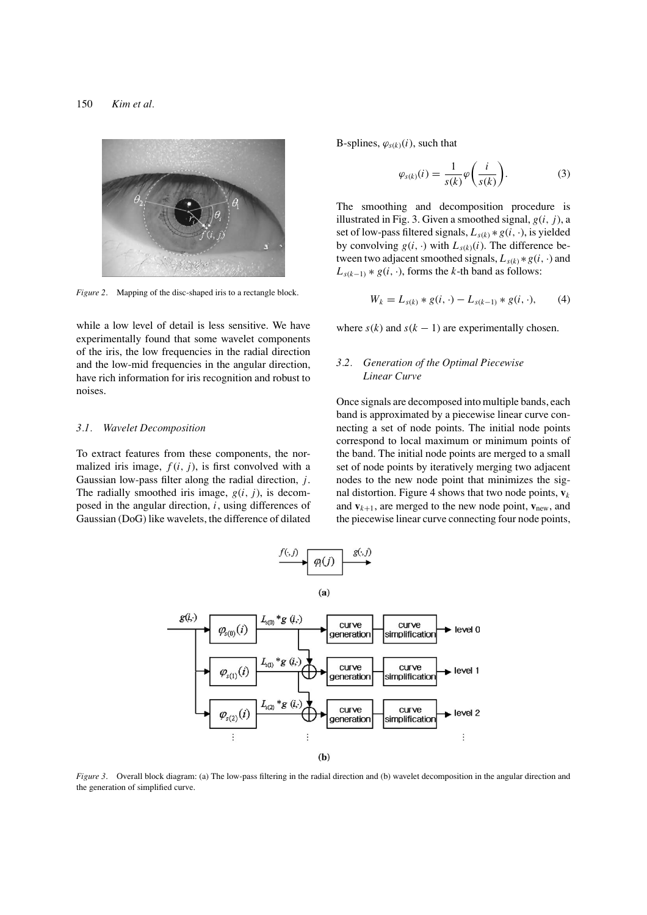

*Figure 2*. Mapping of the disc-shaped iris to a rectangle block.

while a low level of detail is less sensitive. We have experimentally found that some wavelet components of the iris, the low frequencies in the radial direction and the low-mid frequencies in the angular direction, have rich information for iris recognition and robust to noises.

#### *3.1. Wavelet Decomposition*

To extract features from these components, the normalized iris image,  $f(i, j)$ , is first convolved with a Gaussian low-pass filter along the radial direction, *j*. The radially smoothed iris image,  $g(i, j)$ , is decomposed in the angular direction, *i*, using differences of Gaussian (DoG) like wavelets, the difference of dilated

B-splines,  $\varphi_{s(k)}(i)$ , such that

$$
\varphi_{s(k)}(i) = \frac{1}{s(k)} \varphi\bigg(\frac{i}{s(k)}\bigg). \tag{3}
$$

The smoothing and decomposition procedure is illustrated in Fig. 3. Given a smoothed signal, *g*(*i*, *j*), a set of low-pass filtered signals,  $L_{s(k)} * g(i, \cdot)$ , is yielded by convolving  $g(i, \cdot)$  with  $L_{s(k)}(i)$ . The difference between two adjacent smoothed signals,  $L_{s(k)} * g(i, \cdot)$  and  $L_{s(k-1)} * g(i, \cdot)$ , forms the *k*-th band as follows:

$$
W_k = L_{s(k)} * g(i, \cdot) - L_{s(k-1)} * g(i, \cdot), \qquad (4)
$$

where  $s(k)$  and  $s(k - 1)$  are experimentally chosen.

# *3.2. Generation of the Optimal Piecewise Linear Curve*

Once signals are decomposed into multiple bands, each band is approximated by a piecewise linear curve connecting a set of node points. The initial node points correspond to local maximum or minimum points of the band. The initial node points are merged to a small set of node points by iteratively merging two adjacent nodes to the new node point that minimizes the signal distortion. Figure 4 shows that two node points,  $v_k$ and  $\mathbf{v}_{k+1}$ , are merged to the new node point,  $\mathbf{v}_{\text{new}}$ , and the piecewise linear curve connecting four node points,



*Figure 3*. Overall block diagram: (a) The low-pass filtering in the radial direction and (b) wavelet decomposition in the angular direction and the generation of simplified curve.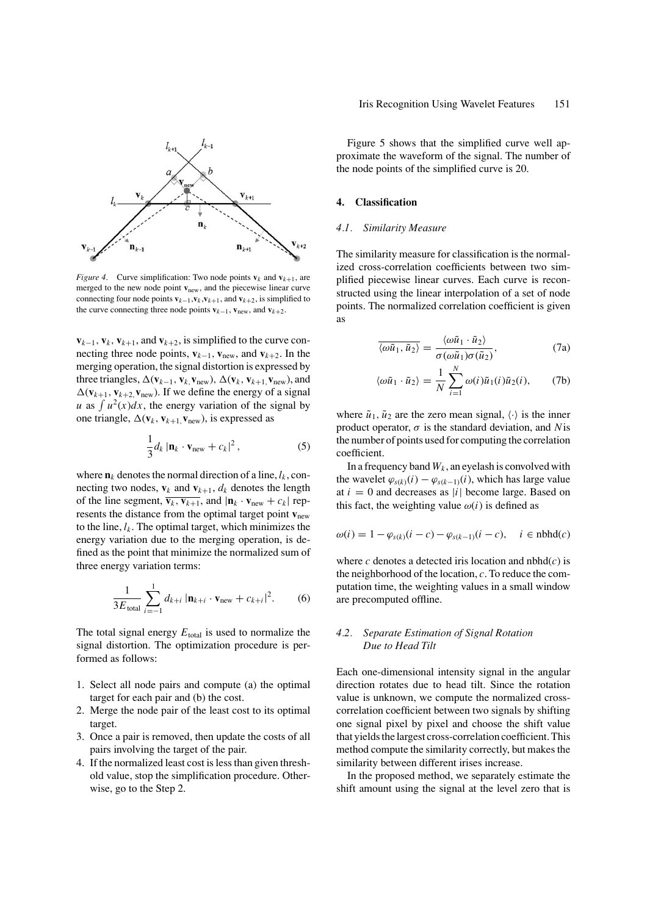

*Figure 4.* Curve simplification: Two node points  $\mathbf{v}_k$  and  $\mathbf{v}_{k+1}$ , are merged to the new node point **v**new, and the piecewise linear curve connecting four node points  $\mathbf{v}_{k-1}, \mathbf{v}_k, \mathbf{v}_{k+1}$ , and  $\mathbf{v}_{k+2}$ , is simplified to the curve connecting three node points  $\mathbf{v}_{k-1}$ ,  $\mathbf{v}_{\text{new}}$ , and  $\mathbf{v}_{k+2}$ .

 ${\bf v}_{k-1}, {\bf v}_k, {\bf v}_{k+1},$  and  ${\bf v}_{k+2}$ , is simplified to the curve connecting three node points,  $\mathbf{v}_{k-1}$ ,  $\mathbf{v}_{\text{new}}$ , and  $\mathbf{v}_{k+2}$ . In the merging operation, the signal distortion is expressed by three triangles,  $\Delta(\mathbf{v}_{k-1}, \mathbf{v}_{k}, \mathbf{v}_{new})$ ,  $\Delta(\mathbf{v}_{k}, \mathbf{v}_{k+1}, \mathbf{v}_{new})$ , and  $\Delta(\mathbf{v}_{k+1}, \mathbf{v}_{k+2}, \mathbf{v}_{new})$ . If we define the energy of a signal *u* as  $\int u^2(x)dx$ , the energy variation of the signal by one triangle,  $\Delta(\mathbf{v}_k, \mathbf{v}_{k+1}, \mathbf{v}_{new})$ , is expressed as

$$
\frac{1}{3}d_k\left|\mathbf{n}_k\cdot\mathbf{v}_{\text{new}}+c_k\right|^2,\tag{5}
$$

where  $\mathbf{n}_k$  denotes the normal direction of a line,  $l_k$ , connecting two nodes,  $\mathbf{v}_k$  and  $\mathbf{v}_{k+1}$ ,  $d_k$  denotes the length of the line segment,  $\overline{\mathbf{v}_k \cdot \mathbf{v}_{k+1}}$ , and  $|\mathbf{n}_k \cdot \mathbf{v}_{new} + c_k|$  represents the distance from the optimal target point  $v_{\text{new}}$ to the line,  $l_k$ . The optimal target, which minimizes the energy variation due to the merging operation, is defined as the point that minimize the normalized sum of three energy variation terms:

$$
\frac{1}{3E_{\text{total}}} \sum_{i=-1}^{1} d_{k+i} |\mathbf{n}_{k+i} \cdot \mathbf{v}_{\text{new}} + c_{k+i}|^2. \tag{6}
$$

The total signal energy  $E_{total}$  is used to normalize the signal distortion. The optimization procedure is performed as follows:

- 1. Select all node pairs and compute (a) the optimal target for each pair and (b) the cost.
- 2. Merge the node pair of the least cost to its optimal target.
- 3. Once a pair is removed, then update the costs of all pairs involving the target of the pair.
- 4. If the normalized least cost is less than given threshold value, stop the simplification procedure. Otherwise, go to the Step 2.

Figure 5 shows that the simplified curve well approximate the waveform of the signal. The number of the node points of the simplified curve is 20.

# **4. Classification**

#### *4.1. Similarity Measure*

The similarity measure for classification is the normalized cross-correlation coefficients between two simplified piecewise linear curves. Each curve is reconstructed using the linear interpolation of a set of node points. The normalized correlation coefficient is given as

$$
\overline{\langle \omega \tilde{u}_1, \tilde{u}_2 \rangle} = \frac{\langle \omega \tilde{u}_1 \cdot \tilde{u}_2 \rangle}{\sigma(\omega \tilde{u}_1)\sigma(\tilde{u}_2)},
$$
(7a)

$$
\langle \omega \tilde{u}_1 \cdot \tilde{u}_2 \rangle = \frac{1}{N} \sum_{i=1}^N \omega(i) \tilde{u}_1(i) \tilde{u}_2(i), \qquad (7b)
$$

where  $\tilde{u}_1$ ,  $\tilde{u}_2$  are the zero mean signal,  $\langle \cdot \rangle$  is the inner product operator,  $\sigma$  is the standard deviation, and *N* is the number of points used for computing the correlation coefficient.

In a frequency band  $W_k$ , an eyelash is convolved with the wavelet  $\varphi_{s(k)}(i) - \varphi_{s(k-1)}(i)$ , which has large value at  $i = 0$  and decreases as |*i*| become large. Based on this fact, the weighting value  $\omega(i)$  is defined as

$$
\omega(i) = 1 - \varphi_{s(k)}(i-c) - \varphi_{s(k-1)}(i-c), \quad i \in \text{nbhd}(c)
$$

where  $c$  denotes a detected iris location and  $nbhd(c)$  is the neighborhood of the location, *c*. To reduce the computation time, the weighting values in a small window are precomputed offline.

### *4.2. Separate Estimation of Signal Rotation Due to Head Tilt*

Each one-dimensional intensity signal in the angular direction rotates due to head tilt. Since the rotation value is unknown, we compute the normalized crosscorrelation coefficient between two signals by shifting one signal pixel by pixel and choose the shift value that yields the largest cross-correlation coefficient. This method compute the similarity correctly, but makes the similarity between different irises increase.

In the proposed method, we separately estimate the shift amount using the signal at the level zero that is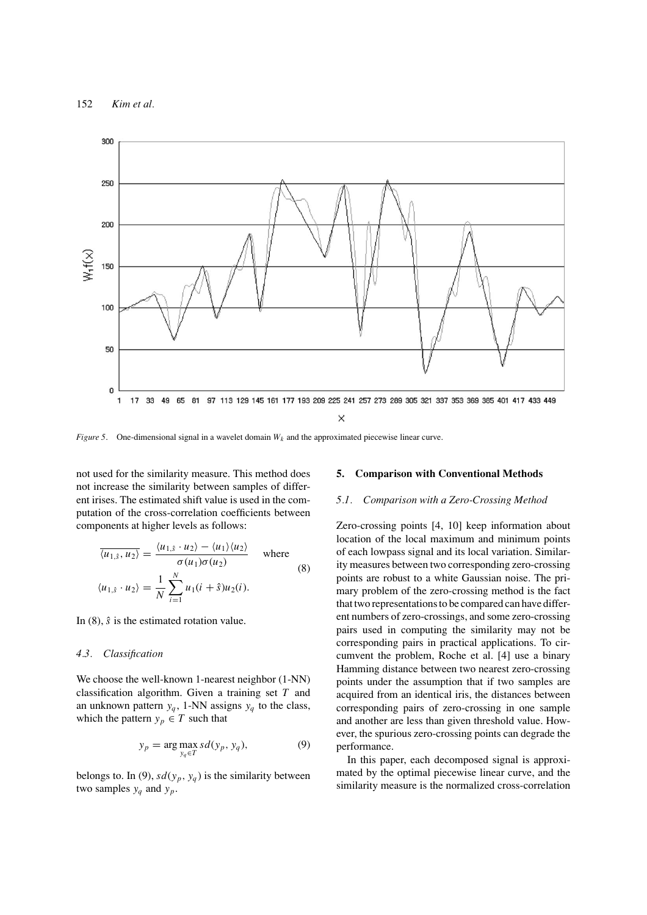

*Figure 5.* One-dimensional signal in a wavelet domain  $W_k$  and the approximated piecewise linear curve.

not used for the similarity measure. This method does not increase the similarity between samples of different irises. The estimated shift value is used in the computation of the cross-correlation coefficients between components at higher levels as follows:

$$
\overline{\langle u_{1,\hat{s}}, u_{2} \rangle} = \frac{\langle u_{1,\hat{s}} \cdot u_{2} \rangle - \langle u_{1} \rangle \langle u_{2} \rangle}{\sigma(u_{1})\sigma(u_{2})} \quad \text{where}
$$
\n
$$
\langle u_{1,\hat{s}} \cdot u_{2} \rangle = \frac{1}{N} \sum_{i=1}^{N} u_{1}(i+\hat{s})u_{2}(i).
$$
\n(8)

In  $(8)$ ,  $\hat{s}$  is the estimated rotation value.

#### *4.3. Classification*

We choose the well-known 1-nearest neighbor  $(1-NN)$ classification algorithm. Given a training set *T* and an unknown pattern  $y_q$ , 1-NN assigns  $y_q$  to the class, which the pattern  $y_p \in T$  such that

$$
y_p = \arg \max_{y_q \in T} sd(y_p, y_q), \tag{9}
$$

belongs to. In (9),  $sd(y_p, y_q)$  is the similarity between two samples  $y_q$  and  $y_p$ .

# **5. Comparison with Conventional Methods**

### *5.1. Comparison with a Zero-Crossing Method*

Zero-crossing points [4, 10] keep information about location of the local maximum and minimum points of each lowpass signal and its local variation. Similarity measures between two corresponding zero-crossing points are robust to a white Gaussian noise. The primary problem of the zero-crossing method is the fact that two representations to be compared can have different numbers of zero-crossings, and some zero-crossing pairs used in computing the similarity may not be corresponding pairs in practical applications. To circumvent the problem, Roche et al. [4] use a binary Hamming distance between two nearest zero-crossing points under the assumption that if two samples are acquired from an identical iris, the distances between corresponding pairs of zero-crossing in one sample and another are less than given threshold value. However, the spurious zero-crossing points can degrade the performance.

In this paper, each decomposed signal is approximated by the optimal piecewise linear curve, and the similarity measure is the normalized cross-correlation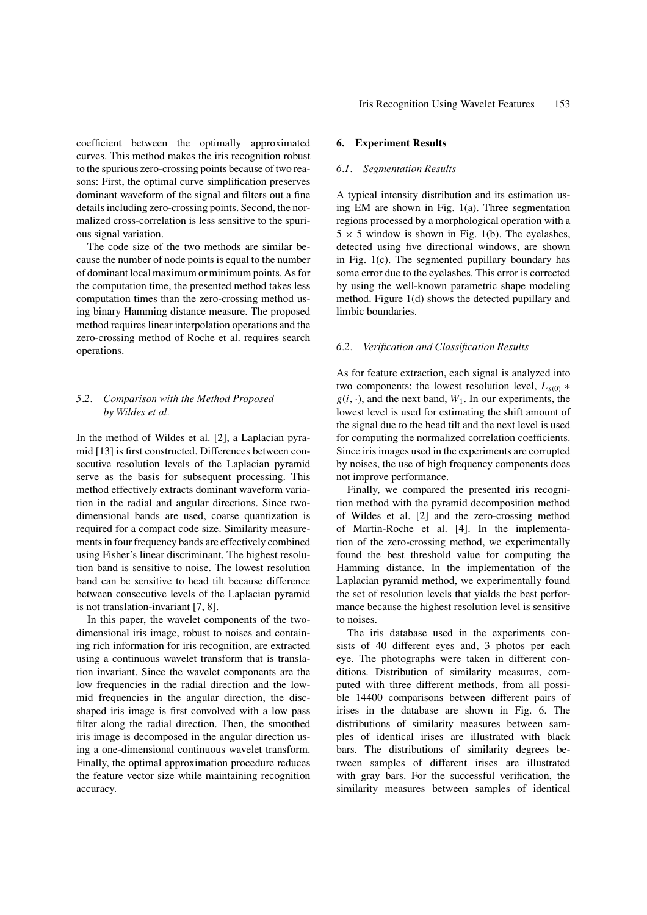coefficient between the optimally approximated curves. This method makes the iris recognition robust to the spurious zero-crossing points because of two reasons: First, the optimal curve simplification preserves dominant waveform of the signal and filters out a fine details including zero-crossing points. Second, the normalized cross-correlation is less sensitive to the spurious signal variation.

The code size of the two methods are similar because the number of node points is equal to the number of dominant local maximum or minimum points. As for the computation time, the presented method takes less computation times than the zero-crossing method using binary Hamming distance measure. The proposed method requires linear interpolation operations and the zero-crossing method of Roche et al. requires search operations.

# *5.2. Comparison with the Method Proposed by Wildes et al.*

In the method of Wildes et al. [2], a Laplacian pyramid [13] is first constructed. Differences between consecutive resolution levels of the Laplacian pyramid serve as the basis for subsequent processing. This method effectively extracts dominant waveform variation in the radial and angular directions. Since twodimensional bands are used, coarse quantization is required for a compact code size. Similarity measurements in four frequency bands are effectively combined using Fisher's linear discriminant. The highest resolution band is sensitive to noise. The lowest resolution band can be sensitive to head tilt because difference between consecutive levels of the Laplacian pyramid is not translation-invariant [7, 8].

In this paper, the wavelet components of the twodimensional iris image, robust to noises and containing rich information for iris recognition, are extracted using a continuous wavelet transform that is translation invariant. Since the wavelet components are the low frequencies in the radial direction and the lowmid frequencies in the angular direction, the discshaped iris image is first convolved with a low pass filter along the radial direction. Then, the smoothed iris image is decomposed in the angular direction using a one-dimensional continuous wavelet transform. Finally, the optimal approximation procedure reduces the feature vector size while maintaining recognition accuracy.

#### **6. Experiment Results**

#### *6.1. Segmentation Results*

A typical intensity distribution and its estimation using EM are shown in Fig. 1(a). Three segmentation regions processed by a morphological operation with a  $5 \times 5$  window is shown in Fig. 1(b). The eyelashes, detected using five directional windows, are shown in Fig. 1(c). The segmented pupillary boundary has some error due to the eyelashes. This error is corrected by using the well-known parametric shape modeling method. Figure 1(d) shows the detected pupillary and limbic boundaries.

#### *6.2. Verification and Classification Results*

As for feature extraction, each signal is analyzed into two components: the lowest resolution level,  $L_{s(0)}$   $*$  $g(i, \cdot)$ , and the next band,  $W_1$ . In our experiments, the lowest level is used for estimating the shift amount of the signal due to the head tilt and the next level is used for computing the normalized correlation coefficients. Since iris images used in the experiments are corrupted by noises, the use of high frequency components does not improve performance.

Finally, we compared the presented iris recognition method with the pyramid decomposition method of Wildes et al. [2] and the zero-crossing method of Martin-Roche et al. [4]. In the implementation of the zero-crossing method, we experimentally found the best threshold value for computing the Hamming distance. In the implementation of the Laplacian pyramid method, we experimentally found the set of resolution levels that yields the best performance because the highest resolution level is sensitive to noises.

The iris database used in the experiments consists of 40 different eyes and, 3 photos per each eye. The photographs were taken in different conditions. Distribution of similarity measures, computed with three different methods, from all possible 14400 comparisons between different pairs of irises in the database are shown in Fig. 6. The distributions of similarity measures between samples of identical irises are illustrated with black bars. The distributions of similarity degrees between samples of different irises are illustrated with gray bars. For the successful verification, the similarity measures between samples of identical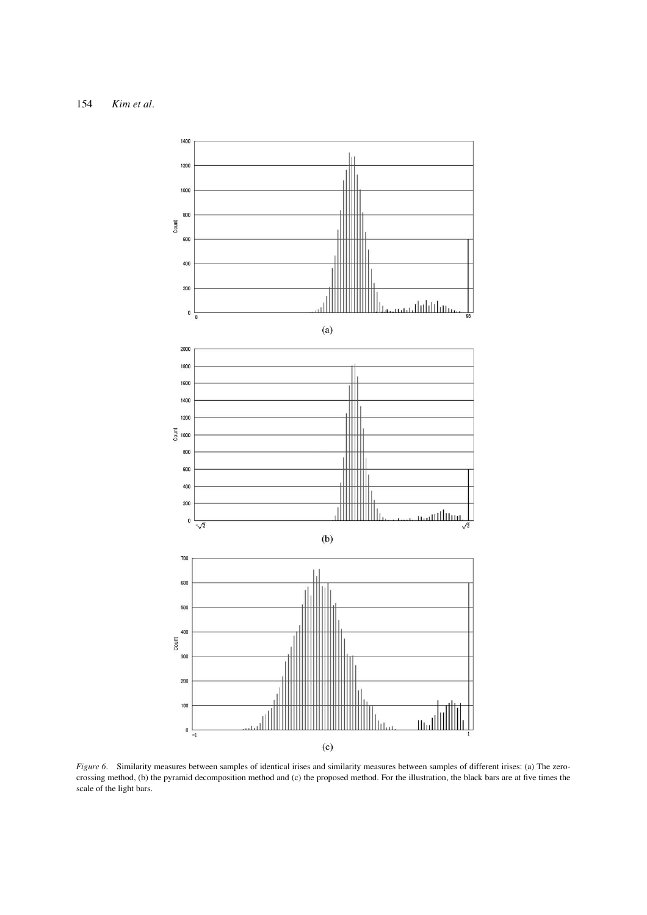

*Figure 6*. Similarity measures between samples of identical irises and similarity measures between samples of different irises: (a) The zerocrossing method, (b) the pyramid decomposition method and (c) the proposed method. For the illustration, the black bars are at five times the scale of the light bars.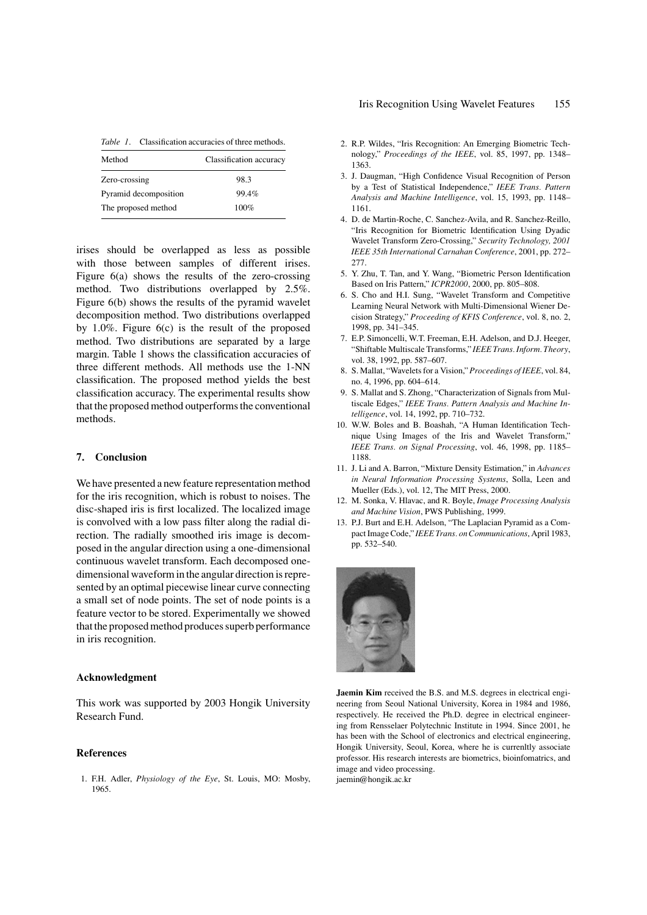| <i>Table 1.</i> Classification accuracies of three methods. |                         |
|-------------------------------------------------------------|-------------------------|
| Method                                                      | Classification accuracy |
| Zero-crossing                                               | 98.3                    |
| Pyramid decomposition                                       | 99.4%                   |
| The proposed method                                         | 100%                    |

irises should be overlapped as less as possible with those between samples of different irises. Figure 6(a) shows the results of the zero-crossing method. Two distributions overlapped by 2.5%. Figure 6(b) shows the results of the pyramid wavelet decomposition method. Two distributions overlapped by 1.0%. Figure 6(c) is the result of the proposed method. Two distributions are separated by a large margin. Table 1 shows the classification accuracies of three different methods. All methods use the 1-NN classification. The proposed method yields the best classification accuracy. The experimental results show that the proposed method outperforms the conventional methods.

# **7. Conclusion**

We have presented a new feature representation method for the iris recognition, which is robust to noises. The disc-shaped iris is first localized. The localized image is convolved with a low pass filter along the radial direction. The radially smoothed iris image is decomposed in the angular direction using a one-dimensional continuous wavelet transform. Each decomposed onedimensional waveform in the angular direction is represented by an optimal piecewise linear curve connecting a small set of node points. The set of node points is a feature vector to be stored. Experimentally we showed that the proposed method produces superb performance in iris recognition.

### **Acknowledgment**

This work was supported by 2003 Hongik University Research Fund.

## **References**

1. F.H. Adler, *Physiology of the Eye*, St. Louis, MO: Mosby, 1965.

- 2. R.P. Wildes, "Iris Recognition: An Emerging Biometric Technology," *Proceedings of the IEEE*, vol. 85, 1997, pp. 1348– 1363.
- 3. J. Daugman, "High Confidence Visual Recognition of Person by a Test of Statistical Independence," *IEEE Trans. Pattern Analysis and Machine Intelligence*, vol. 15, 1993, pp. 1148– 1161.
- 4. D. de Martin-Roche, C. Sanchez-Avila, and R. Sanchez-Reillo, "Iris Recognition for Biometric Identification Using Dyadic Wavelet Transform Zero-Crossing," *Security Technology, 2001 IEEE 35th International Carnahan Conference*, 2001, pp. 272– 277.
- 5. Y. Zhu, T. Tan, and Y. Wang, "Biometric Person Identification Based on Iris Pattern," *ICPR2000*, 2000, pp. 805–808.
- 6. S. Cho and H.I. Sung, "Wavelet Transform and Competitive Learning Neural Network with Multi-Dimensional Wiener Decision Strategy," *Proceeding of KFIS Conference*, vol. 8, no. 2, 1998, pp. 341–345.
- 7. E.P. Simoncelli, W.T. Freeman, E.H. Adelson, and D.J. Heeger, "Shiftable Multiscale Transforms," *IEEE Trans. Inform. Theory*, vol. 38, 1992, pp. 587–607.
- 8. S. Mallat, "Wavelets for a Vision," *Proceedings of IEEE*, vol. 84, no. 4, 1996, pp. 604–614.
- 9. S. Mallat and S. Zhong, "Characterization of Signals from Multiscale Edges," *IEEE Trans. Pattern Analysis and Machine Intelligence*, vol. 14, 1992, pp. 710–732.
- 10. W.W. Boles and B. Boashah, "A Human Identification Technique Using Images of the Iris and Wavelet Transform," *IEEE Trans. on Signal Processing*, vol. 46, 1998, pp. 1185– 1188.
- 11. J. Li and A. Barron, "Mixture Density Estimation," in *Advances in Neural Information Processing Systems*, Solla, Leen and Mueller (Eds.), vol. 12, The MIT Press, 2000.
- 12. M. Sonka, V. Hlavac, and R. Boyle, *Image Processing Analysis and Machine Vision*, PWS Publishing, 1999.
- 13. P.J. Burt and E.H. Adelson, "The Laplacian Pyramid as a Compact Image Code," *IEEE Trans. on Communications*, April 1983, pp. 532–540.



**Jaemin Kim** received the B.S. and M.S. degrees in electrical engineering from Seoul National University, Korea in 1984 and 1986, respectively. He received the Ph.D. degree in electrical engineering from Rensselaer Polytechnic Institute in 1994. Since 2001, he has been with the School of electronics and electrical engineering, Hongik University, Seoul, Korea, where he is currenltly associate professor. His research interests are biometrics, bioinfomatrics, and image and video processing. jaemin@hongik.ac.kr